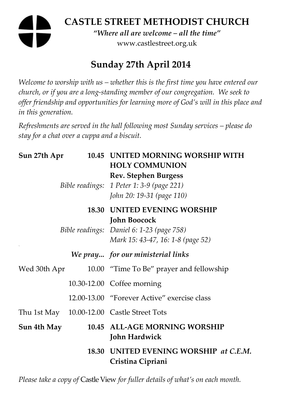# **CASTLE STREET METHODIST CHURCH**  *"Where all are welcome – all the time"*  www.castlestreet.org.uk

# **Sunday 27th April 2014**

*Welcome to worship with us – whether this is the first time you have entered our church, or if you are a long-standing member of our congregation. We seek to offer friendship and opportunities for learning more of God's will in this place and in this generation.* 

*Refreshments are served in the hall following most Sunday services – please do stay for a chat over a cuppa and a biscuit.* 

| Sun 27th Apr<br>10.45 |  | UNITED MORNING WORSHIP WITH<br><b>HOLY COMMUNION</b><br><b>Rev. Stephen Burgess</b><br>Bible readings: 1 Peter 1: 3-9 (page 221)<br>John 20: 19-31 (page 110) |
|-----------------------|--|---------------------------------------------------------------------------------------------------------------------------------------------------------------|
|                       |  | <b>18.30 UNITED EVENING WORSHIP</b><br><b>John Boocock</b><br>Bible readings: Daniel 6: 1-23 (page 758)<br>Mark 15: 43-47, 16: 1-8 (page 52)                  |
|                       |  | We pray for our ministerial links                                                                                                                             |
| Wed 30th Apr          |  | 10.00 "Time To Be" prayer and fellowship                                                                                                                      |
|                       |  | 10.30-12.00 Coffee morning                                                                                                                                    |
|                       |  | 12.00-13.00 "Forever Active" exercise class                                                                                                                   |
|                       |  | Thu 1st May 10.00-12.00 Castle Street Tots                                                                                                                    |
| Sun 4th May           |  | 10.45 ALL-AGE MORNING WORSHIP<br><b>John Hardwick</b>                                                                                                         |
|                       |  | 18.30 UNITED EVENING WORSHIP at C.E.M.<br>Cristina Cipriani                                                                                                   |

*Please take a copy of* Castle View *for fuller details of what's on each month.*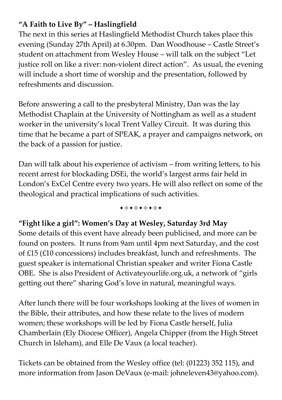## **"A Faith to Live By" – Haslingfield**

The next in this series at Haslingfield Methodist Church takes place this evening (Sunday 27th April) at 6.30pm. Dan Woodhouse – Castle Street's student on attachment from Wesley House – will talk on the subject "Let justice roll on like a river: non-violent direct action". As usual, the evening will include a short time of worship and the presentation, followed by refreshments and discussion.

Before answering a call to the presbyteral Ministry, Dan was the lay Methodist Chaplain at the University of Nottingham as well as a student worker in the university's local Trent Valley Circuit. It was during this time that he became a part of SPEAK, a prayer and campaigns network, on the back of a passion for justice.

Dan will talk about his experience of activism – from writing letters, to his recent arrest for blockading DSEi, the world's largest arms fair held in London's ExCel Centre every two years. He will also reflect on some of the theological and practical implications of such activities.

+\*\*\*\*\*\*\*

#### **"Fight like a girl": Women's Day at Wesley, Saturday 3rd May**

Some details of this event have already been publicised, and more can be found on posters. It runs from 9am until 4pm next Saturday, and the cost of £15 (£10 concessions) includes breakfast, lunch and refreshments. The guest speaker is international Christian speaker and writer Fiona Castle OBE. She is also President of Activateyourlife.org.uk, a network of "girls getting out there" sharing God's love in natural, meaningful ways.

After lunch there will be four workshops looking at the lives of women in the Bible, their attributes, and how these relate to the lives of modern women; these workshops will be led by Fiona Castle herself, Julia Chamberlain (Ely Diocese Officer), Angela Chipper (from the High Street Church in Isleham), and Elle De Vaux (a local teacher).

Tickets can be obtained from the Wesley office (tel: (01223) 352 115), and more information from Jason DeVaux (e-mail: johneleven43@yahoo.com).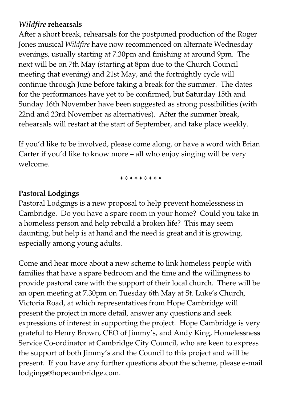## *Wildfire* **rehearsals**

After a short break, rehearsals for the postponed production of the Roger Jones musical *Wildfire* have now recommenced on alternate Wednesday evenings, usually starting at 7.30pm and finishing at around 9pm. The next will be on 7th May (starting at 8pm due to the Church Council meeting that evening) and 21st May, and the fortnightly cycle will continue through June before taking a break for the summer. The dates for the performances have yet to be confirmed, but Saturday 15th and Sunday 16th November have been suggested as strong possibilities (with 22nd and 23rd November as alternatives). After the summer break, rehearsals will restart at the start of September, and take place weekly.

If you'd like to be involved, please come along, or have a word with Brian Carter if you'd like to know more – all who enjoy singing will be very welcome.

+\*+\*\*\*\*+

#### **Pastoral Lodgings**

Pastoral Lodgings is a new proposal to help prevent homelessness in Cambridge. Do you have a spare room in your home? Could you take in a homeless person and help rebuild a broken life? This may seem daunting, but help is at hand and the need is great and it is growing, especially among young adults.

Come and hear more about a new scheme to link homeless people with families that have a spare bedroom and the time and the willingness to provide pastoral care with the support of their local church. There will be an open meeting at 7.30pm on Tuesday 6th May at St. Luke's Church, Victoria Road, at which representatives from Hope Cambridge will present the project in more detail, answer any questions and seek expressions of interest in supporting the project. Hope Cambridge is very grateful to Henry Brown, CEO of Jimmy's, and Andy King, Homelessness Service Co-ordinator at Cambridge City Council, who are keen to express the support of both Jimmy's and the Council to this project and will be present. If you have any further questions about the scheme, please e-mail lodgings@hopecambridge.com.